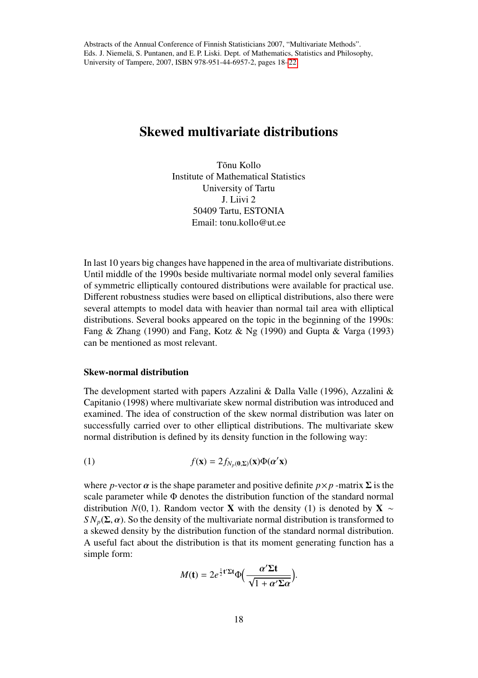# Skewed multivariate distributions

Tõnu Kollo Institute of Mathematical Statistics University of Tartu J. Liivi 2 50409 Tartu, ESTONIA Email: tonu kollo@ut.ee

In last 10 years big changes have happened in the area of multivariate distributions. Until middle of the 1990s beside multivariate normal model only several families of symmetric elliptically contoured distributions were available for practical use. Different robustness studies were based on elliptical distributions, also there were several attempts to model data with heavier than normal tail area with elliptical distributions. Several books appeared on the topic in the beginning of the 1990s: Fang & Zhang (1990) and Fang, Kotz & Ng (1990) and Gupta & Varga (1993) can be mentioned as most relevant.

## Skew-normal distribution

The development started with papers Azzalini & Dalla Valle (1996), Azzalini & Capitanio (1998) where multivariate skew normal distribution was introduced and examined. The idea of construction of the skew normal distribution was later on successfully carried over to other elliptical distributions. The multivariate skew normal distribution is defined by its density function in the following way:

(1) 
$$
f(\mathbf{x}) = 2f_{N_p(\mathbf{0},\Sigma)}(\mathbf{x})\Phi(\alpha'\mathbf{x})
$$

where *p*-vector  $\alpha$  is the shape parameter and positive definite  $p \times p$  -matrix  $\Sigma$  is the scale parameter while Φ denotes the distribution function of the standard normal distribution *N*(0, 1). Random vector **X** with the density (1) is denoted by **X** ∼ *SN<sub>p</sub>*( $\Sigma$ ,  $\alpha$ ). So the density of the multivariate normal distribution is transformed to a skewed density by the distribution function of the standard normal distribution. A useful fact about the distribution is that its moment generating function has a simple form:

$$
M(\mathbf{t}) = 2e^{\frac{1}{2}\mathbf{t}'\Sigma\mathbf{t}}\Phi\left(\frac{\alpha'\Sigma\mathbf{t}}{\sqrt{1+\alpha'\Sigma\alpha}}\right).
$$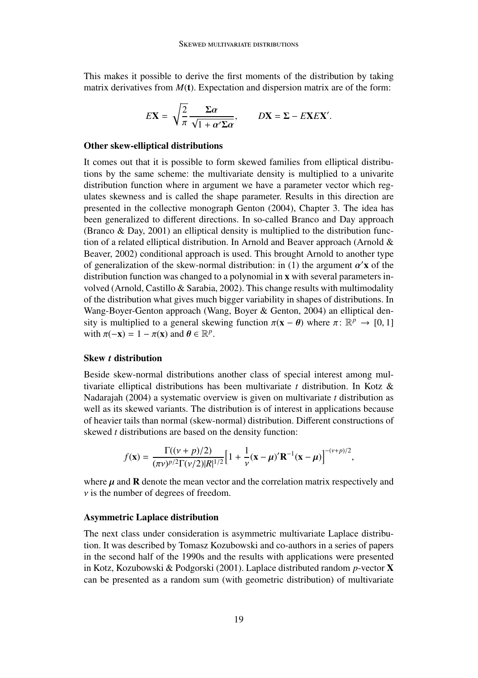This makes it possible to derive the first moments of the distribution by taking matrix derivatives from  $M(t)$ . Expectation and dispersion matrix are of the form:

$$
E\mathbf{X} = \sqrt{\frac{2}{\pi}} \frac{\Sigma \alpha}{\sqrt{1 + \alpha' \Sigma \alpha}}, \qquad D\mathbf{X} = \Sigma - E\mathbf{X} E\mathbf{X}'
$$

#### Other skew-elliptical distributions

It comes out that it is possible to form skewed families from elliptical distributions by the same scheme: the multivariate density is multiplied to a univarite distribution function where in argument we have a parameter vector which regulates skewness and is called the shape parameter. Results in this direction are presented in the collective monograph Genton (2004), Chapter 3. The idea has been generalized to different directions. In so-called Branco and Day approach (Branco & Day, 2001) an elliptical density is multiplied to the distribution function of a related elliptical distribution. In Arnold and Beaver approach (Arnold & Beaver, 2002) conditional approach is used. This brought Arnold to another type of generalization of the skew-normal distribution: in (1) the argument  $\alpha'$ **x** of the distribution function was changed to a polynomial in **x** with several parameters indistribution function was changed to a polynomial in x with several parameters involved (Arnold, Castillo & Sarabia, 2002). This change results with multimodality of the distribution what gives much bigger variability in shapes of distributions. In Wang-Boyer-Genton approach (Wang, Boyer & Genton, 2004) an elliptical density is multiplied to a general skewing function  $\pi(\mathbf{x} - \theta)$  where  $\pi \colon \mathbb{R}^p \to [0, 1]$ <br>with  $\pi(-\mathbf{x}) - 1 - \pi(\mathbf{x})$  and  $\theta \in \mathbb{R}^p$ with  $\pi(-\mathbf{x}) = 1 - \pi(\mathbf{x})$  and  $\theta \in \mathbb{R}^p$ .

# Skew *t* distribution

Beside skew-normal distributions another class of special interest among multivariate elliptical distributions has been multivariate *t* distribution. In Kotz & Nadarajah (2004) a systematic overview is given on multivariate *t* distribution as well as its skewed variants. The distribution is of interest in applications because of heavier tails than normal (skew-normal) distribution. Different constructions of skewed *t* distributions are based on the density function:

$$
f(\mathbf{x}) = \frac{\Gamma((\nu + p)/2)}{(\pi \nu)^{p/2} \Gamma(\nu/2) |R|^{1/2}} \Big[ 1 + \frac{1}{\nu} (\mathbf{x} - \mu)' \mathbf{R}^{-1} (\mathbf{x} - \mu) \Big]^{-(\nu + p)/2},
$$

where  $\mu$  and  $\bf{R}$  denote the mean vector and the correlation matrix respectively and  $\nu$  is the number of degrees of freedom.

#### Asymmetric Laplace distribution

The next class under consideration is asymmetric multivariate Laplace distribution. It was described by Tomasz Kozubowski and co-authors in a series of papers in the second half of the 1990s and the results with applications were presented in Kotz, Kozubowski & Podgorski (2001). Laplace distributed random *p*-vector X can be presented as a random sum (with geometric distribution) of multivariate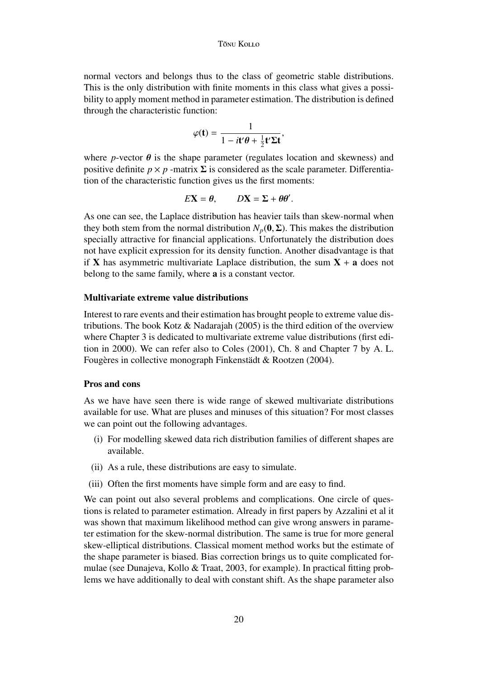normal vectors and belongs thus to the class of geometric stable distributions. This is the only distribution with finite moments in this class what gives a possibility to apply moment method in parameter estimation. The distribution is defined through the characteristic function:

$$
\varphi(\mathbf{t}) = \frac{1}{1 - i\mathbf{t}'\boldsymbol{\theta} + \frac{1}{2}\mathbf{t}'\boldsymbol{\Sigma}\mathbf{t}},
$$

where *p*-vector  $\theta$  is the shape parameter (regulates location and skewness) and positive definite  $p \times p$  -matrix  $\Sigma$  is considered as the scale parameter. Differentiation of the characteristic function gives us the first moments:

$$
E\mathbf{X} = \theta, \qquad D\mathbf{X} = \Sigma + \theta \theta'.
$$

As one can see, the Laplace distribution has heavier tails than skew-normal when they both stem from the normal distribution  $N_p(0, \Sigma)$ . This makes the distribution specially attractive for financial applications. Unfortunately the distribution does not have explicit expression for its density function. Another disadvantage is that if **X** has asymmetric multivariate Laplace distribution, the sum  $X + a$  does not belong to the same family, where a is a constant vector.

## Multivariate extreme value distributions

Interest to rare events and their estimation has brought people to extreme value distributions. The book Kotz  $\&$  Nadarajah (2005) is the third edition of the overview where Chapter 3 is dedicated to multivariate extreme value distributions (first edition in 2000). We can refer also to Coles (2001), Ch. 8 and Chapter 7 by A. L. Fougères in collective monograph Finkenstädt & Rootzen (2004).

# Pros and cons

As we have have seen there is wide range of skewed multivariate distributions available for use. What are pluses and minuses of this situation? For most classes we can point out the following advantages.

- (i) For modelling skewed data rich distribution families of different shapes are available.
- (ii) As a rule, these distributions are easy to simulate.
- (iii) Often the first moments have simple form and are easy to find.

We can point out also several problems and complications. One circle of questions is related to parameter estimation. Already in first papers by Azzalini et al it was shown that maximum likelihood method can give wrong answers in parameter estimation for the skew-normal distribution. The same is true for more general skew-elliptical distributions. Classical moment method works but the estimate of the shape parameter is biased. Bias correction brings us to quite complicated formulae (see Dunajeva, Kollo & Traat, 2003, for example). In practical fitting problems we have additionally to deal with constant shift. As the shape parameter also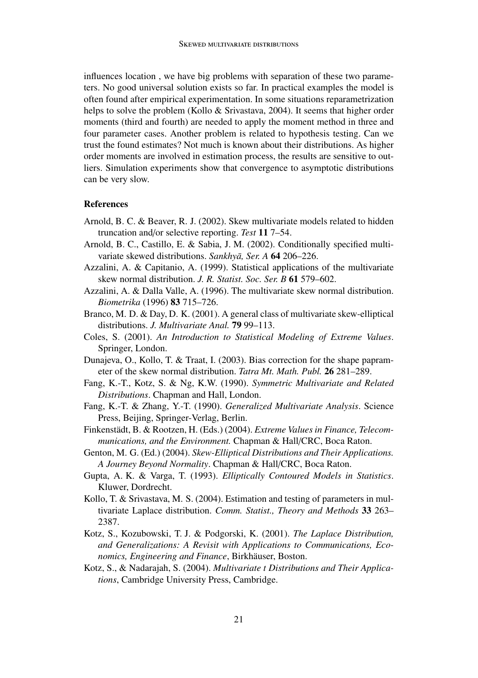influences location , we have big problems with separation of these two parameters. No good universal solution exists so far. In practical examples the model is often found after empirical experimentation. In some situations reparametrization helps to solve the problem (Kollo & Srivastava, 2004). It seems that higher order moments (third and fourth) are needed to apply the moment method in three and four parameter cases. Another problem is related to hypothesis testing. Can we trust the found estimates? Not much is known about their distributions. As higher order moments are involved in estimation process, the results are sensitive to outliers. Simulation experiments show that convergence to asymptotic distributions can be very slow.

## References

- Arnold, B. C. & Beaver, R. J. (2002). Skew multivariate models related to hidden truncation and/or selective reporting. *Test* 11 7–54.
- Arnold, B. C., Castillo, E. & Sabia, J. M. (2002). Conditionally specified multivariate skewed distributions. *Sankhyā*, *Ser. A* **64** 206-226.
- Azzalini, A. & Capitanio, A. (1999). Statistical applications of the multivariate skew normal distribution. *J. R. Statist. Soc. Ser. B* 61 579–602.
- Azzalini, A. & Dalla Valle, A. (1996). The multivariate skew normal distribution. *Biometrika* (1996) 83 715–726.
- Branco, M. D. & Day, D. K. (2001). A general class of multivariate skew-elliptical distributions. *J. Multivariate Anal.* 79 99–113.
- Coles, S. (2001). *An Introduction to Statistical Modeling of Extreme Values*. Springer, London.
- Dunajeva, O., Kollo, T. & Traat, I. (2003). Bias correction for the shape paprameter of the skew normal distribution. *Tatra Mt. Math. Publ.* 26 281–289.
- Fang, K.-T., Kotz, S. & Ng, K.W. (1990). *Symmetric Multivariate and Related Distributions*. Chapman and Hall, London.
- Fang, K.-T. & Zhang, Y.-T. (1990). *Generalized Multivariate Analysis*. Science Press, Beijing, Springer-Verlag, Berlin.
- Finkenstädt, B. & Rootzen, H. (Eds.) (2004). *Extreme Values in Finance, Telecommunications, and the Environment.* Chapman & Hall/CRC, Boca Raton.
- Genton, M. G. (Ed.) (2004). *Skew-Elliptical Distributions and Their Applications. A Journey Beyond Normality*. Chapman & Hall/CRC, Boca Raton.
- Gupta, A. K. & Varga, T. (1993). *Elliptically Contoured Models in Statistics*. Kluwer, Dordrecht.
- Kollo, T. & Srivastava, M. S. (2004). Estimation and testing of parameters in multivariate Laplace distribution. *Comm. Statist., Theory and Methods* 33 263– 2387.
- Kotz, S., Kozubowski, T. J. & Podgorski, K. (2001). *The Laplace Distribution, and Generalizations: A Revisit with Applications to Communications, Economics, Engineering and Finance*, Birkhäuser, Boston.
- Kotz, S., & Nadarajah, S. (2004). *Multivariate t Distributions and Their Applications*, Cambridge University Press, Cambridge.